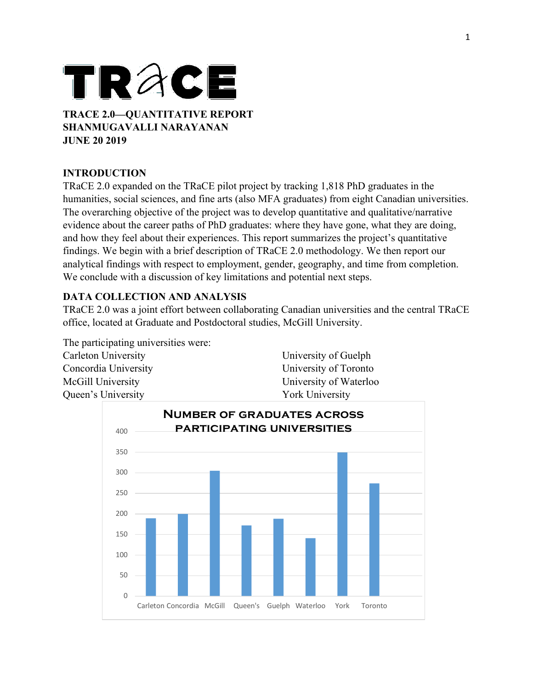# TRACE **TRACE 2.0—QUANTITATIVE REPORT**

**SHANMUGAVALLI NARAYANAN JUNE 20 2019**

# **INTRODUCTION**

TRaCE 2.0 expanded on the TRaCE pilot project by tracking 1,818 PhD graduates in the humanities, social sciences, and fine arts (also MFA graduates) from eight Canadian universities. The overarching objective of the project was to develop quantitative and qualitative/narrative evidence about the career paths of PhD graduates: where they have gone, what they are doing, and how they feel about their experiences. This report summarizes the project's quantitative findings. We begin with a brief description of TRaCE 2.0 methodology. We then report our analytical findings with respect to employment, gender, geography, and time from completion. We conclude with a discussion of key limitations and potential next steps.

# **DATA COLLECTION AND ANALYSIS**

TRaCE 2.0 was a joint effort between collaborating Canadian universities and the central TRaCE office, located at Graduate and Postdoctoral studies, McGill University.

The participating universities were: Carleton University Concordia University McGill University Queen's University

University of Guelph University of Toronto University of Waterloo York University

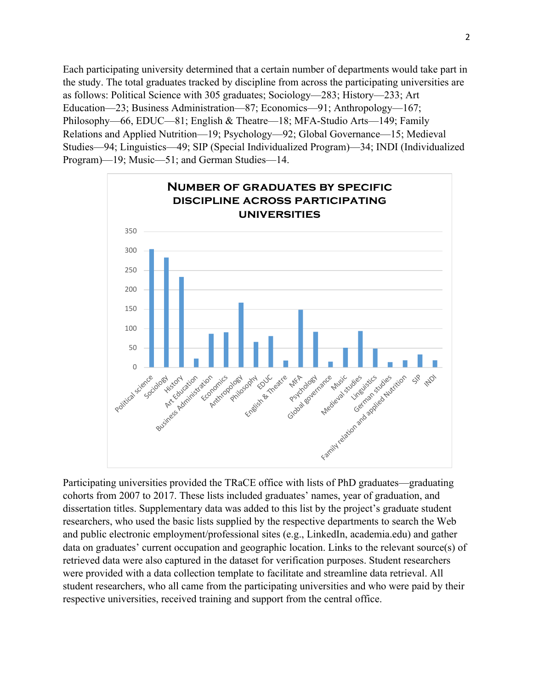Each participating university determined that a certain number of departments would take part in the study. The total graduates tracked by discipline from across the participating universities are as follows: Political Science with 305 graduates; Sociology—283; History—233; Art Education—23; Business Administration—87; Economics—91; Anthropology—167; Philosophy—66, EDUC—81; English & Theatre—18; MFA-Studio Arts—149; Family Relations and Applied Nutrition—19; Psychology—92; Global Governance—15; Medieval Studies—94; Linguistics—49; SIP (Special Individualized Program)—34; INDI (Individualized Program)—19; Music—51; and German Studies—14.



Participating universities provided the TRaCE office with lists of PhD graduates—graduating cohorts from 2007 to 2017. These lists included graduates' names, year of graduation, and dissertation titles. Supplementary data was added to this list by the project's graduate student researchers, who used the basic lists supplied by the respective departments to search the Web and public electronic employment/professional sites (e.g., LinkedIn, academia.edu) and gather data on graduates' current occupation and geographic location. Links to the relevant source(s) of retrieved data were also captured in the dataset for verification purposes. Student researchers were provided with a data collection template to facilitate and streamline data retrieval. All student researchers, who all came from the participating universities and who were paid by their respective universities, received training and support from the central office.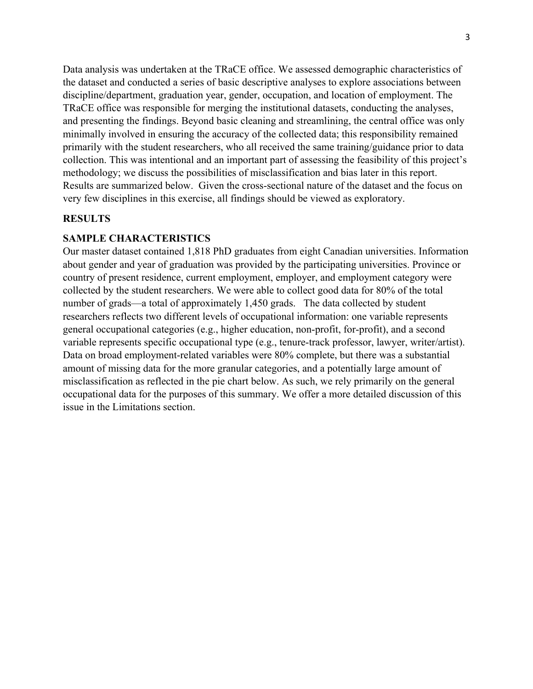Data analysis was undertaken at the TRaCE office. We assessed demographic characteristics of the dataset and conducted a series of basic descriptive analyses to explore associations between discipline/department, graduation year, gender, occupation, and location of employment. The TRaCE office was responsible for merging the institutional datasets, conducting the analyses, and presenting the findings. Beyond basic cleaning and streamlining, the central office was only minimally involved in ensuring the accuracy of the collected data; this responsibility remained primarily with the student researchers, who all received the same training/guidance prior to data collection. This was intentional and an important part of assessing the feasibility of this project's methodology; we discuss the possibilities of misclassification and bias later in this report. Results are summarized below. Given the cross-sectional nature of the dataset and the focus on very few disciplines in this exercise, all findings should be viewed as exploratory.

## **RESULTS**

## **SAMPLE CHARACTERISTICS**

Our master dataset contained 1,818 PhD graduates from eight Canadian universities. Information about gender and year of graduation was provided by the participating universities. Province or country of present residence, current employment, employer, and employment category were collected by the student researchers. We were able to collect good data for 80% of the total number of grads—a total of approximately 1,450 grads. The data collected by student researchers reflects two different levels of occupational information: one variable represents general occupational categories (e.g., higher education, non-profit, for-profit), and a second variable represents specific occupational type (e.g., tenure-track professor, lawyer, writer/artist). Data on broad employment-related variables were 80% complete, but there was a substantial amount of missing data for the more granular categories, and a potentially large amount of misclassification as reflected in the pie chart below. As such, we rely primarily on the general occupational data for the purposes of this summary. We offer a more detailed discussion of this issue in the Limitations section.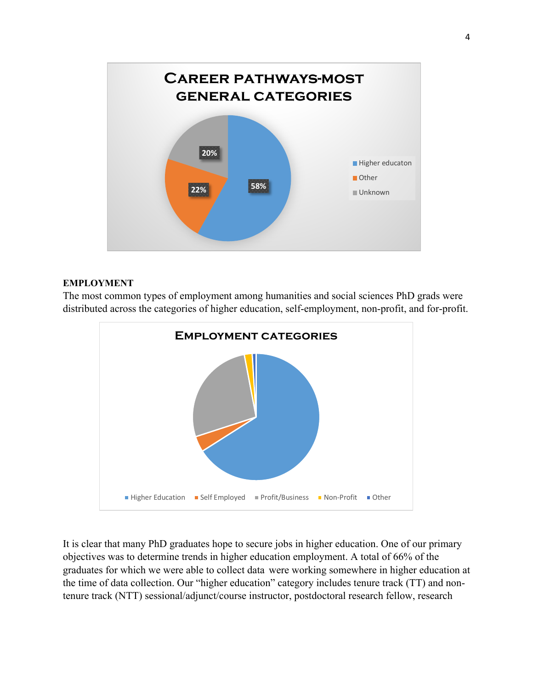

## **EMPLOYMENT**

The most common types of employment among humanities and social sciences PhD grads were distributed across the categories of higher education, self-employment, non-profit, and for-profit.



It is clear that many PhD graduates hope to secure jobs in higher education. One of our primary objectives was to determine trends in higher education employment. A total of 66% of the graduates for which we were able to collect data were working somewhere in higher education at the time of data collection. Our "higher education" category includes tenure track (TT) and nontenure track (NTT) sessional/adjunct/course instructor, postdoctoral research fellow, research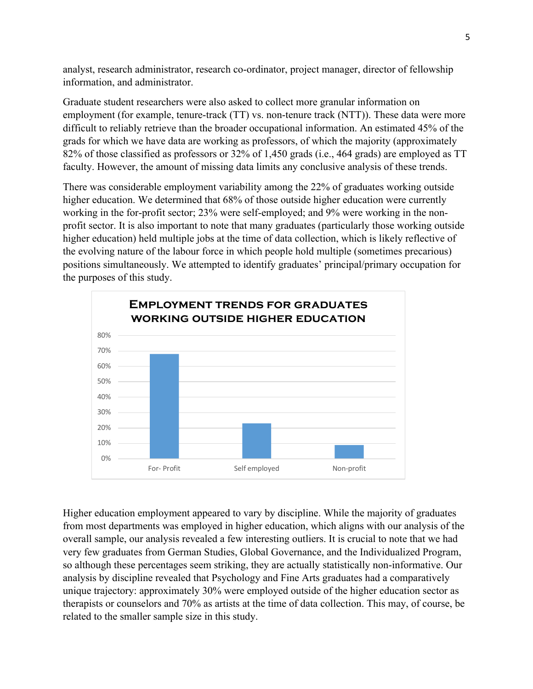analyst, research administrator, research co-ordinator, project manager, director of fellowship information, and administrator.

Graduate student researchers were also asked to collect more granular information on employment (for example, tenure-track (TT) vs. non-tenure track (NTT)). These data were more difficult to reliably retrieve than the broader occupational information. An estimated 45% of the grads for which we have data are working as professors, of which the majority (approximately 82% of those classified as professors or 32% of 1,450 grads (i.e., 464 grads) are employed as TT faculty. However, the amount of missing data limits any conclusive analysis of these trends.

There was considerable employment variability among the 22% of graduates working outside higher education. We determined that 68% of those outside higher education were currently working in the for-profit sector; 23% were self-employed; and 9% were working in the nonprofit sector. It is also important to note that many graduates (particularly those working outside higher education) held multiple jobs at the time of data collection, which is likely reflective of the evolving nature of the labour force in which people hold multiple (sometimes precarious) positions simultaneously. We attempted to identify graduates' principal/primary occupation for the purposes of this study.



Higher education employment appeared to vary by discipline. While the majority of graduates from most departments was employed in higher education, which aligns with our analysis of the overall sample, our analysis revealed a few interesting outliers. It is crucial to note that we had very few graduates from German Studies, Global Governance, and the Individualized Program, so although these percentages seem striking, they are actually statistically non-informative. Our analysis by discipline revealed that Psychology and Fine Arts graduates had a comparatively unique trajectory: approximately 30% were employed outside of the higher education sector as therapists or counselors and 70% as artists at the time of data collection. This may, of course, be related to the smaller sample size in this study.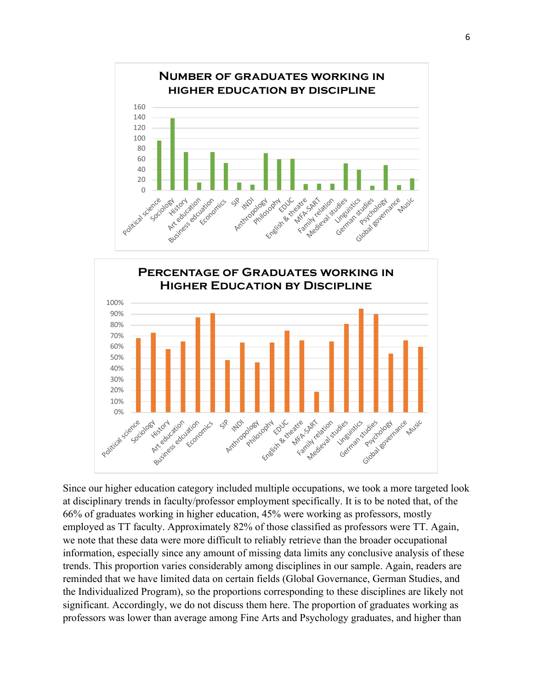



Since our higher education category included multiple occupations, we took a more targeted look at disciplinary trends in faculty/professor employment specifically. It is to be noted that, of the 66% of graduates working in higher education, 45% were working as professors, mostly employed as TT faculty. Approximately 82% of those classified as professors were TT. Again, we note that these data were more difficult to reliably retrieve than the broader occupational information, especially since any amount of missing data limits any conclusive analysis of these trends. This proportion varies considerably among disciplines in our sample. Again, readers are reminded that we have limited data on certain fields (Global Governance, German Studies, and the Individualized Program), so the proportions corresponding to these disciplines are likely not significant. Accordingly, we do not discuss them here. The proportion of graduates working as professors was lower than average among Fine Arts and Psychology graduates, and higher than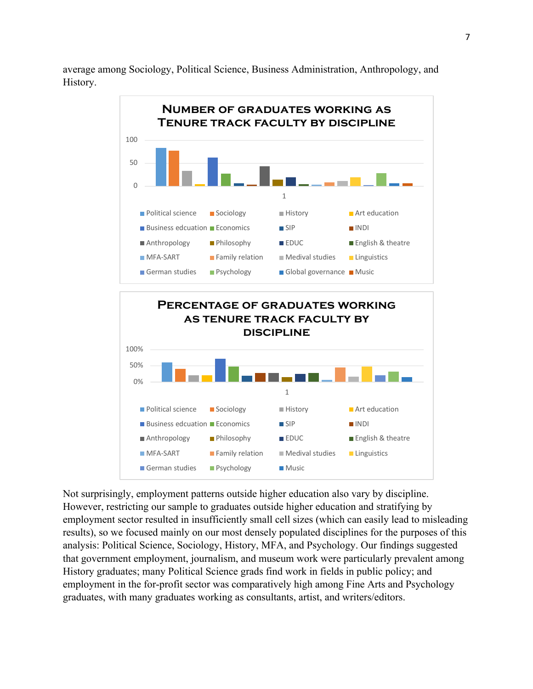average among Sociology, Political Science, Business Administration, Anthropology, and History.



Not surprisingly, employment patterns outside higher education also vary by discipline. However, restricting our sample to graduates outside higher education and stratifying by employment sector resulted in insufficiently small cell sizes (which can easily lead to misleading results), so we focused mainly on our most densely populated disciplines for the purposes of this analysis: Political Science, Sociology, History, MFA, and Psychology. Our findings suggested that government employment, journalism, and museum work were particularly prevalent among History graduates; many Political Science grads find work in fields in public policy; and employment in the for-profit sector was comparatively high among Fine Arts and Psychology graduates, with many graduates working as consultants, artist, and writers/editors.

**MFA-SART Example 2** Family relation **Medival studies Linguistics** 

German studies Psychology Music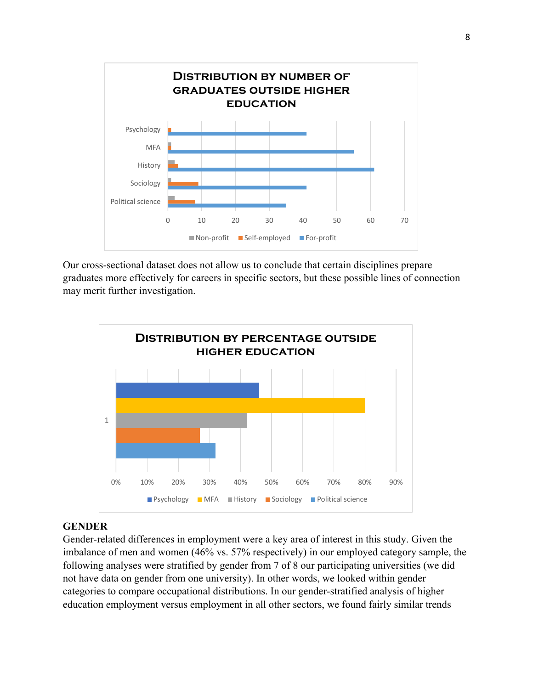

Our cross-sectional dataset does not allow us to conclude that certain disciplines prepare graduates more effectively for careers in specific sectors, but these possible lines of connection may merit further investigation.



## **GENDER**

Gender-related differences in employment were a key area of interest in this study. Given the imbalance of men and women (46% vs. 57% respectively) in our employed category sample, the following analyses were stratified by gender from 7 of 8 our participating universities (we did not have data on gender from one university). In other words, we looked within gender categories to compare occupational distributions. In our gender-stratified analysis of higher education employment versus employment in all other sectors, we found fairly similar trends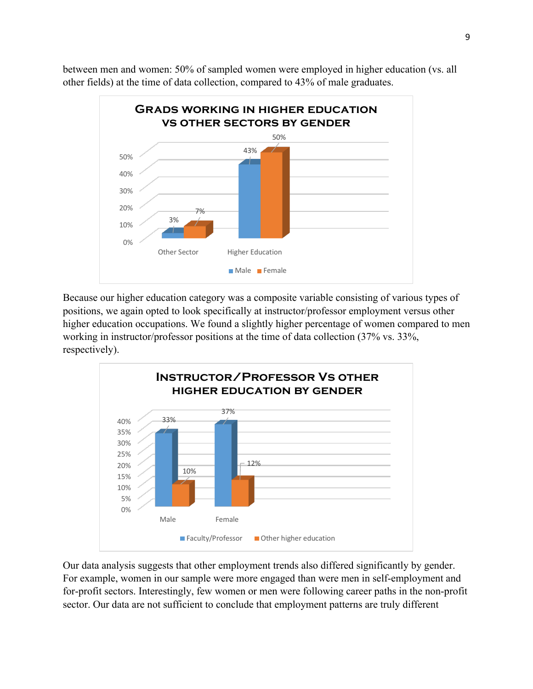between men and women: 50% of sampled women were employed in higher education (vs. all other fields) at the time of data collection, compared to 43% of male graduates.



Because our higher education category was a composite variable consisting of various types of positions, we again opted to look specifically at instructor/professor employment versus other higher education occupations. We found a slightly higher percentage of women compared to men working in instructor/professor positions at the time of data collection (37% vs. 33%, respectively).



Our data analysis suggests that other employment trends also differed significantly by gender. For example, women in our sample were more engaged than were men in self-employment and for-profit sectors. Interestingly, few women or men were following career paths in the non-profit sector. Our data are not sufficient to conclude that employment patterns are truly different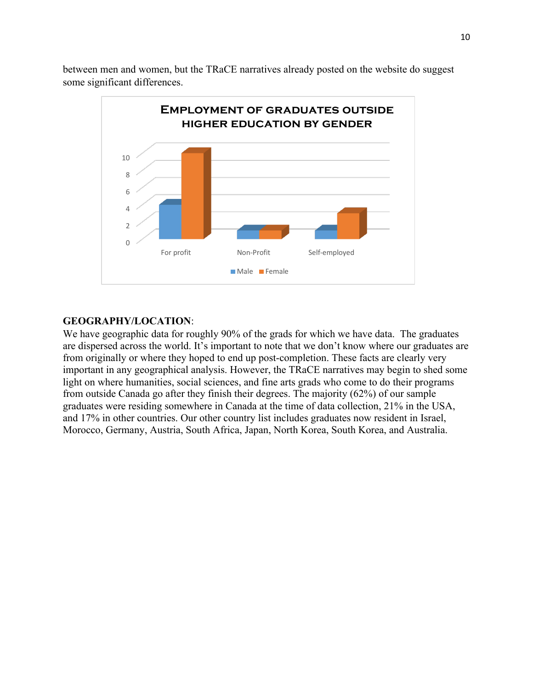between men and women, but the TRaCE narratives already posted on the website do suggest some significant differences.



# **GEOGRAPHY/LOCATION**:

We have geographic data for roughly 90% of the grads for which we have data. The graduates are dispersed across the world. It's important to note that we don't know where our graduates are from originally or where they hoped to end up post-completion. These facts are clearly very important in any geographical analysis. However, the TRaCE narratives may begin to shed some light on where humanities, social sciences, and fine arts grads who come to do their programs from outside Canada go after they finish their degrees. The majority (62%) of our sample graduates were residing somewhere in Canada at the time of data collection, 21% in the USA, and 17% in other countries. Our other country list includes graduates now resident in Israel, Morocco, Germany, Austria, South Africa, Japan, North Korea, South Korea, and Australia.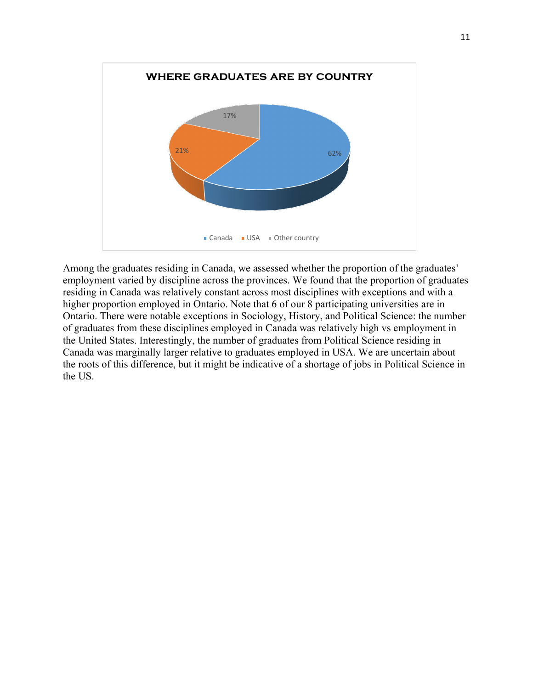

Among the graduates residing in Canada, we assessed whether the proportion of the graduates' employment varied by discipline across the provinces. We found that the proportion of graduates residing in Canada was relatively constant across most disciplines with exceptions and with a higher proportion employed in Ontario. Note that 6 of our 8 participating universities are in Ontario. There were notable exceptions in Sociology, History, and Political Science: the number of graduates from these disciplines employed in Canada was relatively high vs employment in the United States. Interestingly, the number of graduates from Political Science residing in Canada was marginally larger relative to graduates employed in USA. We are uncertain about the roots of this difference, but it might be indicative of a shortage of jobs in Political Science in the US.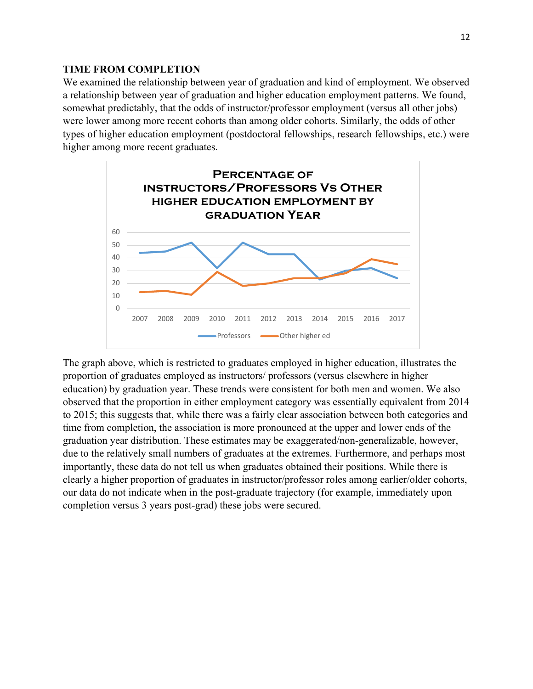## **TIME FROM COMPLETION**

We examined the relationship between year of graduation and kind of employment. We observed a relationship between year of graduation and higher education employment patterns. We found, somewhat predictably, that the odds of instructor/professor employment (versus all other jobs) were lower among more recent cohorts than among older cohorts. Similarly, the odds of other types of higher education employment (postdoctoral fellowships, research fellowships, etc.) were higher among more recent graduates.



The graph above, which is restricted to graduates employed in higher education, illustrates the proportion of graduates employed as instructors/ professors (versus elsewhere in higher education) by graduation year. These trends were consistent for both men and women. We also observed that the proportion in either employment category was essentially equivalent from 2014 to 2015; this suggests that, while there was a fairly clear association between both categories and time from completion, the association is more pronounced at the upper and lower ends of the graduation year distribution. These estimates may be exaggerated/non-generalizable, however, due to the relatively small numbers of graduates at the extremes. Furthermore, and perhaps most importantly, these data do not tell us when graduates obtained their positions. While there is clearly a higher proportion of graduates in instructor/professor roles among earlier/older cohorts, our data do not indicate when in the post-graduate trajectory (for example, immediately upon completion versus 3 years post-grad) these jobs were secured.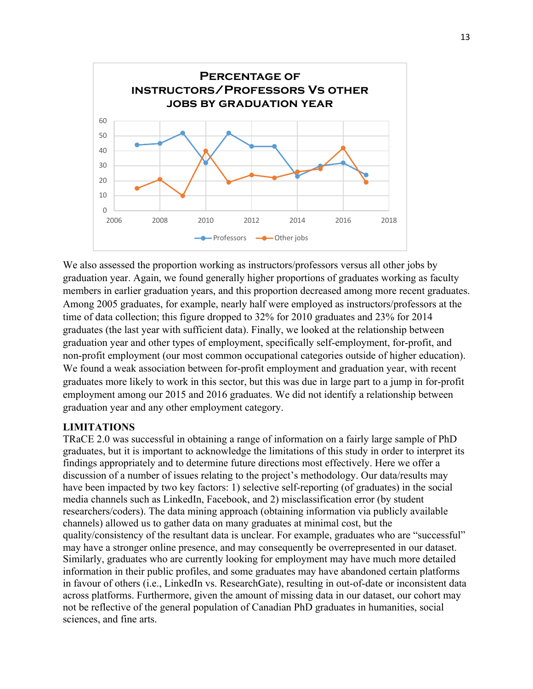

We also assessed the proportion working as instructors/professors versus all other jobs by graduation year. Again, we found generally higher proportions of graduates working as faculty members in earlier graduation years, and this proportion decreased among more recent graduates. Among 2005 graduates, for example, nearly half were employed as instructors/professors at the time of data collection; this figure dropped to 32% for 2010 graduates and 23% for 2014 graduates (the last year with sufficient data). Finally, we looked at the relationship between graduation year and other types of employment, specifically self-employment, for-profit, and non-profit employment (our most common occupational categories outside of higher education). We found a weak association between for-profit employment and graduation year, with recent graduates more likely to work in this sector, but this was due in large part to a jump in for-profit employment among our 2015 and 2016 graduates. We did not identify a relationship between graduation year and any other employment category.

# **LIMITATIONS**

TRaCE 2.0 was successful in obtaining a range of information on a fairly large sample of PhD graduates, but it is important to acknowledge the limitations of this study in order to interpret its findings appropriately and to determine future directions most effectively. Here we offer a discussion of a number of issues relating to the project's methodology. Our data/results may have been impacted by two key factors: 1) selective self-reporting (of graduates) in the social media channels such as LinkedIn, Facebook, and 2) misclassification error (by student researchers/coders). The data mining approach (obtaining information via publicly available channels) allowed us to gather data on many graduates at minimal cost, but the quality/consistency of the resultant data is unclear. For example, graduates who are "successful" may have a stronger online presence, and may consequently be overrepresented in our dataset. Similarly, graduates who are currently looking for employment may have much more detailed information in their public profiles, and some graduates may have abandoned certain platforms in favour of others (i.e., LinkedIn vs. ResearchGate), resulting in out-of-date or inconsistent data across platforms. Furthermore, given the amount of missing data in our dataset, our cohort may not be reflective of the general population of Canadian PhD graduates in humanities, social sciences, and fine arts.